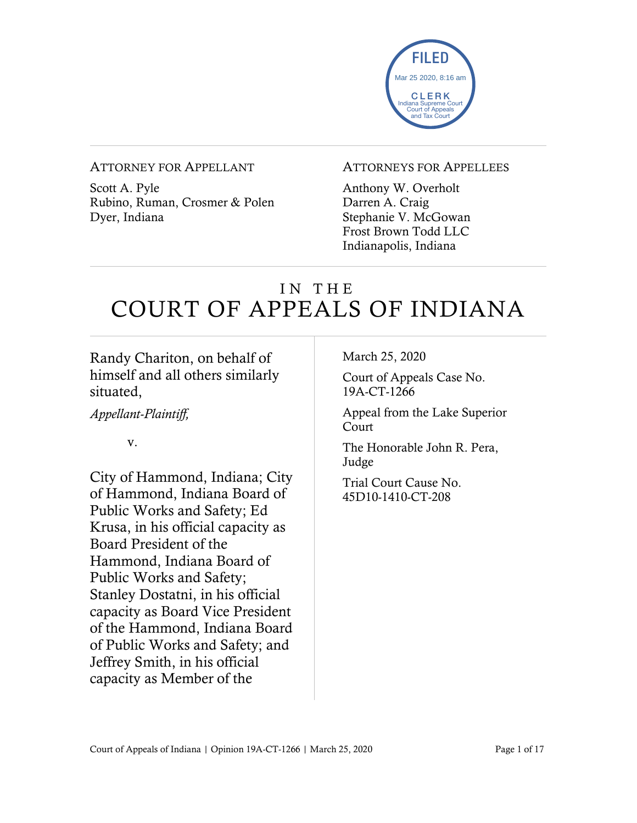

#### ATTORNEY FOR APPELLANT

Scott A. Pyle Rubino, Ruman, Crosmer & Polen Dyer, Indiana

#### ATTORNEYS FOR APPELLEES

Anthony W. Overholt Darren A. Craig Stephanie V. McGowan Frost Brown Todd LLC Indianapolis, Indiana

# IN THE COURT OF APPEALS OF INDIANA

## Randy Chariton, on behalf of himself and all others similarly situated,

*Appellant-Plaintiff,*

v.

City of Hammond, Indiana; City of Hammond, Indiana Board of Public Works and Safety; Ed Krusa, in his official capacity as Board President of the Hammond, Indiana Board of Public Works and Safety; Stanley Dostatni, in his official capacity as Board Vice President of the Hammond, Indiana Board of Public Works and Safety; and Jeffrey Smith, in his official capacity as Member of the

March 25, 2020

Court of Appeals Case No. 19A-CT-1266

Appeal from the Lake Superior Court

The Honorable John R. Pera, Judge

Trial Court Cause No. 45D10-1410-CT-208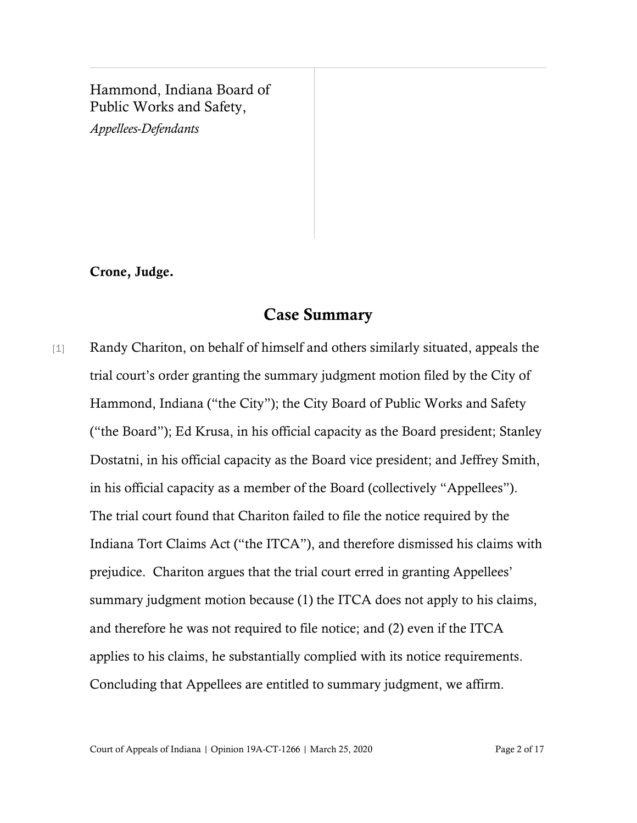#### Hammond, Indiana Board of Public Works and Safety,

*Appellees-Defendants*

Crone, Judge.

## Case Summary

[1] Randy Chariton, on behalf of himself and others similarly situated, appeals the trial court's order granting the summary judgment motion filed by the City of Hammond, Indiana ("the City"); the City Board of Public Works and Safety ("the Board"); Ed Krusa, in his official capacity as the Board president; Stanley Dostatni, in his official capacity as the Board vice president; and Jeffrey Smith, in his official capacity as a member of the Board (collectively "Appellees"). The trial court found that Chariton failed to file the notice required by the Indiana Tort Claims Act ("the ITCA"), and therefore dismissed his claims with prejudice. Chariton argues that the trial court erred in granting Appellees' summary judgment motion because (1) the ITCA does not apply to his claims, and therefore he was not required to file notice; and (2) even if the ITCA applies to his claims, he substantially complied with its notice requirements. Concluding that Appellees are entitled to summary judgment, we affirm.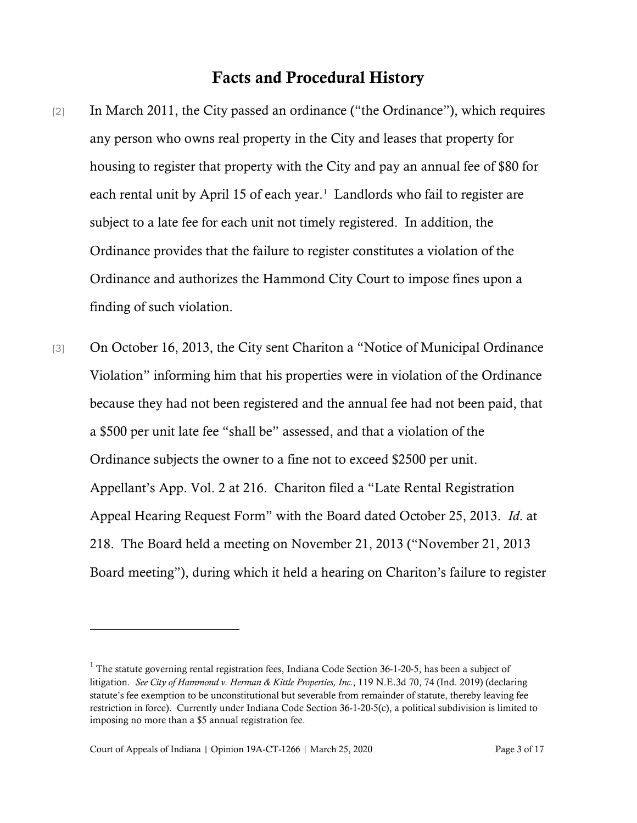#### Facts and Procedural History

- [2] In March 2011, the City passed an ordinance ("the Ordinance"), which requires any person who owns real property in the City and leases that property for housing to register that property with the City and pay an annual fee of \$80 for each rental unit by April [1](#page-2-0)5 of each year.<sup>1</sup> Landlords who fail to register are subject to a late fee for each unit not timely registered. In addition, the Ordinance provides that the failure to register constitutes a violation of the Ordinance and authorizes the Hammond City Court to impose fines upon a finding of such violation.
- [3] On October 16, 2013, the City sent Chariton a "Notice of Municipal Ordinance Violation" informing him that his properties were in violation of the Ordinance because they had not been registered and the annual fee had not been paid, that a \$500 per unit late fee "shall be" assessed, and that a violation of the Ordinance subjects the owner to a fine not to exceed \$2500 per unit. Appellant's App. Vol. 2 at 216. Chariton filed a "Late Rental Registration Appeal Hearing Request Form" with the Board dated October 25, 2013. *Id*. at 218. The Board held a meeting on November 21, 2013 ("November 21, 2013 Board meeting"), during which it held a hearing on Chariton's failure to register

<span id="page-2-0"></span><sup>&</sup>lt;sup>1</sup> The statute governing rental registration fees, Indiana Code Section 36-1-20-5, has been a subject of litigation. *See City of Hammond v. Herman & Kittle Properties, Inc.*, 119 N.E.3d 70, 74 (Ind. 2019) (declaring statute's fee exemption to be unconstitutional but severable from remainder of statute, thereby leaving fee restriction in force). Currently under Indiana Code Section 36-1-20-5(c), a political subdivision is limited to imposing no more than a \$5 annual registration fee.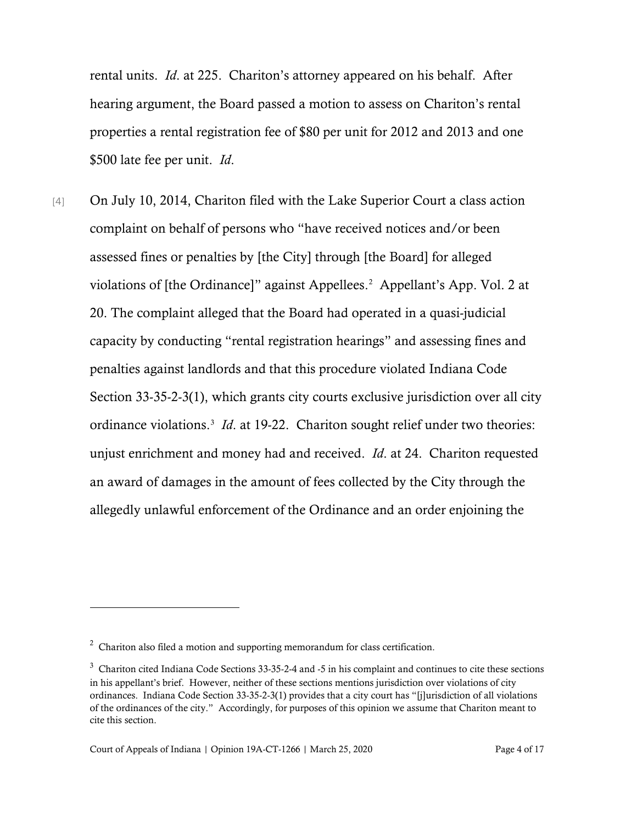rental units. *Id*. at 225. Chariton's attorney appeared on his behalf. After hearing argument, the Board passed a motion to assess on Chariton's rental properties a rental registration fee of \$80 per unit for 2012 and 2013 and one \$500 late fee per unit. *Id*.

[4] On July 10, 2014, Chariton filed with the Lake Superior Court a class action complaint on behalf of persons who "have received notices and/or been assessed fines or penalties by [the City] through [the Board] for alleged violations of [the Ordinance]" against Appellees. [2](#page-3-0) Appellant's App. Vol. 2 at 20. The complaint alleged that the Board had operated in a quasi-judicial capacity by conducting "rental registration hearings" and assessing fines and penalties against landlords and that this procedure violated Indiana Code Section 33-35-2-3(1), which grants city courts exclusive jurisdiction over all city ordinance violations.<sup>[3](#page-3-1)</sup> *Id*. at 19-22. Chariton sought relief under two theories: unjust enrichment and money had and received. *Id*. at 24. Chariton requested an award of damages in the amount of fees collected by the City through the allegedly unlawful enforcement of the Ordinance and an order enjoining the

<span id="page-3-0"></span> $2$  Chariton also filed a motion and supporting memorandum for class certification.

<span id="page-3-1"></span><sup>&</sup>lt;sup>3</sup> Chariton cited Indiana Code Sections 33-35-2-4 and -5 in his complaint and continues to cite these sections in his appellant's brief. However, neither of these sections mentions jurisdiction over violations of city ordinances. Indiana Code Section 33-35-2-3(1) provides that a city court has "[j]urisdiction of all violations of the ordinances of the city." Accordingly, for purposes of this opinion we assume that Chariton meant to cite this section.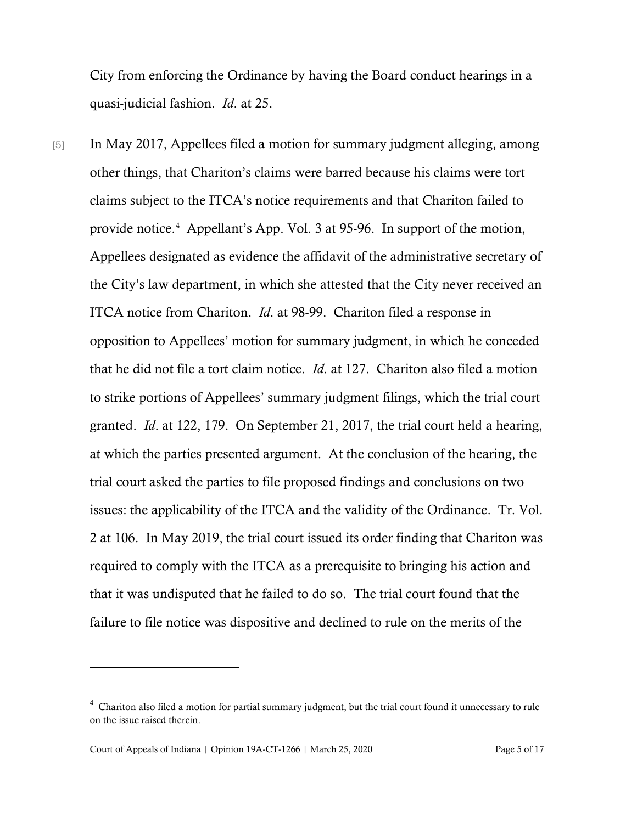City from enforcing the Ordinance by having the Board conduct hearings in a quasi-judicial fashion. *Id*. at 25.

[5] In May 2017, Appellees filed a motion for summary judgment alleging, among other things, that Chariton's claims were barred because his claims were tort claims subject to the ITCA's notice requirements and that Chariton failed to provide notice. [4](#page-4-0) Appellant's App. Vol. 3 at 95-96. In support of the motion, Appellees designated as evidence the affidavit of the administrative secretary of the City's law department, in which she attested that the City never received an ITCA notice from Chariton. *Id*. at 98-99. Chariton filed a response in opposition to Appellees' motion for summary judgment, in which he conceded that he did not file a tort claim notice. *Id*. at 127. Chariton also filed a motion to strike portions of Appellees' summary judgment filings, which the trial court granted. *Id*. at 122, 179. On September 21, 2017, the trial court held a hearing, at which the parties presented argument. At the conclusion of the hearing, the trial court asked the parties to file proposed findings and conclusions on two issues: the applicability of the ITCA and the validity of the Ordinance. Tr. Vol. 2 at 106. In May 2019, the trial court issued its order finding that Chariton was required to comply with the ITCA as a prerequisite to bringing his action and that it was undisputed that he failed to do so. The trial court found that the failure to file notice was dispositive and declined to rule on the merits of the

Court of Appeals of Indiana | Opinion 19A-CT-1266 | March 25, 2020 Page 5 of 17

<span id="page-4-0"></span> $4$  Chariton also filed a motion for partial summary judgment, but the trial court found it unnecessary to rule on the issue raised therein.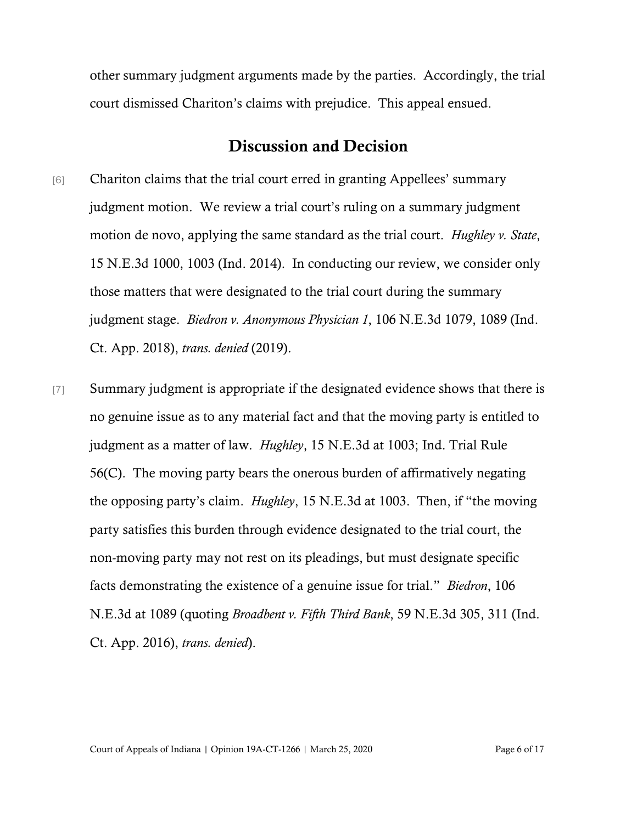other summary judgment arguments made by the parties. Accordingly, the trial court dismissed Chariton's claims with prejudice. This appeal ensued.

## Discussion and Decision

- [6] Chariton claims that the trial court erred in granting Appellees' summary judgment motion. We review a trial court's ruling on a summary judgment motion de novo, applying the same standard as the trial court. *Hughley v. State*, 15 N.E.3d 1000, 1003 (Ind. 2014). In conducting our review, we consider only those matters that were designated to the trial court during the summary judgment stage. *Biedron v. Anonymous Physician 1*, 106 N.E.3d 1079, 1089 (Ind. Ct. App. 2018), *trans. denied* (2019).
- [7] Summary judgment is appropriate if the designated evidence shows that there is no genuine issue as to any material fact and that the moving party is entitled to judgment as a matter of law. *Hughley*, 15 N.E.3d at 1003; Ind. Trial Rule 56(C). The moving party bears the onerous burden of affirmatively negating the opposing party's claim. *Hughley*, 15 N.E.3d at 1003. Then, if "the moving party satisfies this burden through evidence designated to the trial court, the non-moving party may not rest on its pleadings, but must designate specific facts demonstrating the existence of a genuine issue for trial." *Biedron*, 106 N.E.3d at 1089 (quoting *Broadbent v. Fifth Third Bank*, 59 N.E.3d 305, 311 (Ind. Ct. App. 2016), *trans. denied*).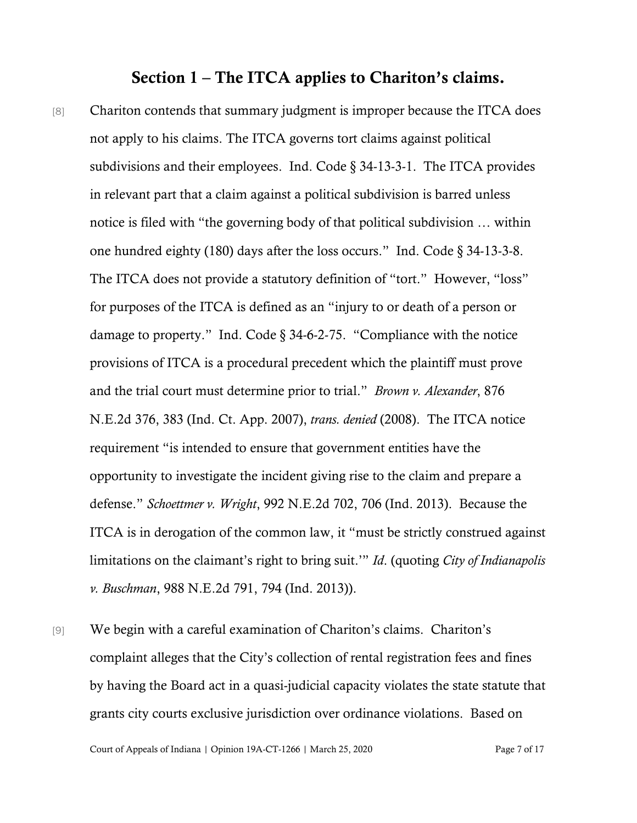#### Section 1 – The ITCA applies to Chariton's claims.

- [8] Chariton contends that summary judgment is improper because the ITCA does not apply to his claims. The ITCA governs tort claims against political subdivisions and their employees. Ind. Code § 34-13-3-1. The ITCA provides in relevant part that a claim against a political subdivision is barred unless notice is filed with "the governing body of that political subdivision … within one hundred eighty (180) days after the loss occurs." Ind. Code § 34-13-3-8. The ITCA does not provide a statutory definition of "tort." However, "loss" for purposes of the ITCA is defined as an "injury to or death of a person or damage to property." Ind. Code § 34-6-2-75. "Compliance with the notice provisions of ITCA is a procedural precedent which the plaintiff must prove and the trial court must determine prior to trial." *Brown v. Alexander*, 876 N.E.2d 376, 383 (Ind. Ct. App. 2007), *trans. denied* (2008). The ITCA notice requirement "is intended to ensure that government entities have the opportunity to investigate the incident giving rise to the claim and prepare a defense." *Schoettmer v. Wright*, 992 N.E.2d 702, 706 (Ind. 2013). Because the ITCA is in derogation of the common law, it "must be strictly construed against limitations on the claimant's right to bring suit.'" *Id*. (quoting *City of Indianapolis v. Buschman*, 988 N.E.2d 791, 794 (Ind. 2013)).
- [9] We begin with a careful examination of Chariton's claims. Chariton's complaint alleges that the City's collection of rental registration fees and fines by having the Board act in a quasi-judicial capacity violates the state statute that grants city courts exclusive jurisdiction over ordinance violations. Based on

Court of Appeals of Indiana | Opinion 19A-CT-1266 | March 25, 2020 Page 7 of 17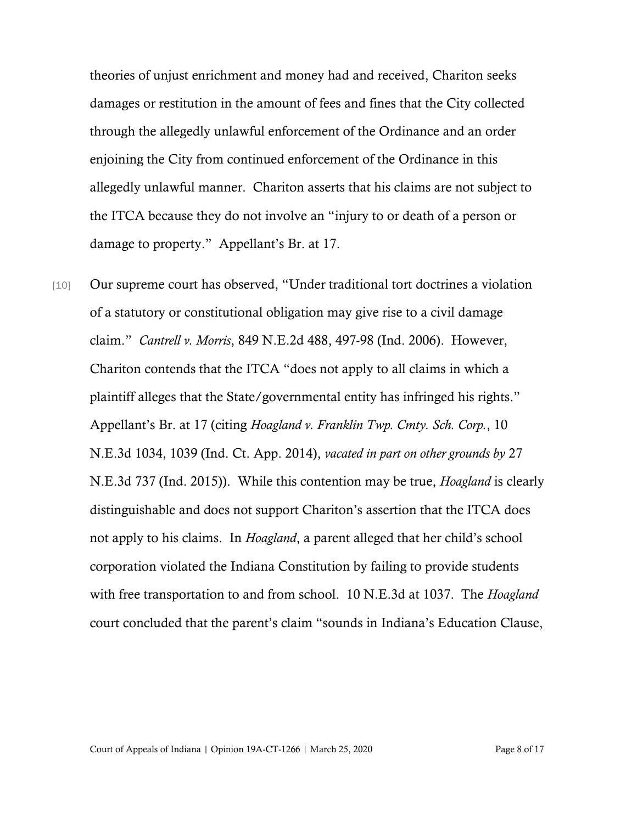theories of unjust enrichment and money had and received, Chariton seeks damages or restitution in the amount of fees and fines that the City collected through the allegedly unlawful enforcement of the Ordinance and an order enjoining the City from continued enforcement of the Ordinance in this allegedly unlawful manner. Chariton asserts that his claims are not subject to the ITCA because they do not involve an "injury to or death of a person or damage to property." Appellant's Br. at 17.

[10] Our supreme court has observed, "Under traditional tort doctrines a violation of a statutory or constitutional obligation may give rise to a civil damage claim." *Cantrell v. Morris*, 849 N.E.2d 488, 497-98 (Ind. 2006). However, Chariton contends that the ITCA "does not apply to all claims in which a plaintiff alleges that the State/governmental entity has infringed his rights." Appellant's Br. at 17 (citing *Hoagland v. Franklin Twp. Cmty. Sch. Corp.*, 10 N.E.3d 1034, 1039 (Ind. Ct. App. 2014), *vacated in part on other grounds by* 27 N.E.3d 737 (Ind. 2015)). While this contention may be true, *Hoagland* is clearly distinguishable and does not support Chariton's assertion that the ITCA does not apply to his claims. In *Hoagland*, a parent alleged that her child's school corporation violated the Indiana Constitution by failing to provide students with free transportation to and from school. 10 N.E.3d at 1037. The *Hoagland* court concluded that the parent's claim "sounds in Indiana's Education Clause,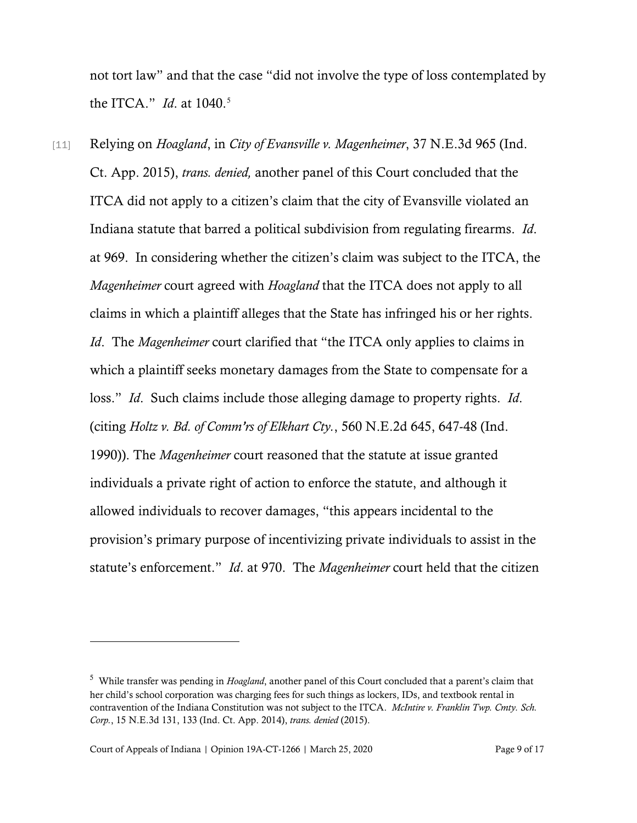not tort law" and that the case "did not involve the type of loss contemplated by the ITCA." *Id*. at 1040. [5](#page-8-0)

[11] Relying on *Hoagland*, in *City of Evansville v. Magenheimer*, 37 N.E.3d 965 (Ind. Ct. App. 2015), *trans. denied,* another panel of this Court concluded that the ITCA did not apply to a citizen's claim that the city of Evansville violated an Indiana statute that barred a political subdivision from regulating firearms. *Id*. at 969. In considering whether the citizen's claim was subject to the ITCA, the *Magenheimer* court agreed with *Hoagland* that the ITCA does not apply to all claims in which a plaintiff alleges that the State has infringed his or her rights. *Id*. The *Magenheimer* court clarified that "the ITCA only applies to claims in which a plaintiff seeks monetary damages from the State to compensate for a loss." *Id*. Such claims include those alleging damage to property rights. *Id*. (citing *Holtz v. Bd. of Comm'rs of Elkhart Cty.*, 560 N.E.2d 645, 647-48 (Ind. 1990)). The *Magenheimer* court reasoned that the statute at issue granted individuals a private right of action to enforce the statute, and although it allowed individuals to recover damages, "this appears incidental to the provision's primary purpose of incentivizing private individuals to assist in the statute's enforcement." *Id*. at 970. The *Magenheimer* court held that the citizen

<span id="page-8-0"></span><sup>5</sup> While transfer was pending in *Hoagland*, another panel of this Court concluded that a parent's claim that her child's school corporation was charging fees for such things as lockers, IDs, and textbook rental in contravention of the Indiana Constitution was not subject to the ITCA. *McIntire v. Franklin Twp. Cmty. Sch. Corp.*, 15 N.E.3d 131, 133 (Ind. Ct. App. 2014), *trans. denied* (2015).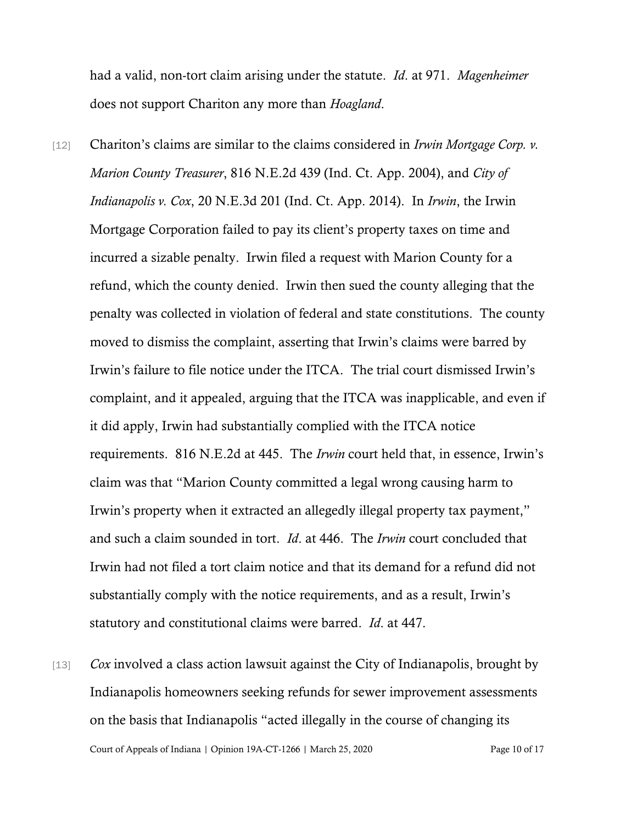had a valid, non-tort claim arising under the statute. *Id*. at 971. *Magenheimer* does not support Chariton any more than *Hoagland*.

- [12] Chariton's claims are similar to the claims considered in *Irwin Mortgage Corp. v. Marion County Treasurer*, 816 N.E.2d 439 (Ind. Ct. App. 2004), and *City of Indianapolis v. Cox*, 20 N.E.3d 201 (Ind. Ct. App. 2014). In *Irwin*, the Irwin Mortgage Corporation failed to pay its client's property taxes on time and incurred a sizable penalty. Irwin filed a request with Marion County for a refund, which the county denied. Irwin then sued the county alleging that the penalty was collected in violation of federal and state constitutions. The county moved to dismiss the complaint, asserting that Irwin's claims were barred by Irwin's failure to file notice under the ITCA. The trial court dismissed Irwin's complaint, and it appealed, arguing that the ITCA was inapplicable, and even if it did apply, Irwin had substantially complied with the ITCA notice requirements. 816 N.E.2d at 445. The *Irwin* court held that, in essence, Irwin's claim was that "Marion County committed a legal wrong causing harm to Irwin's property when it extracted an allegedly illegal property tax payment," and such a claim sounded in tort. *Id*. at 446. The *Irwin* court concluded that Irwin had not filed a tort claim notice and that its demand for a refund did not substantially comply with the notice requirements, and as a result, Irwin's statutory and constitutional claims were barred. *Id*. at 447.
- Court of Appeals of Indiana | Opinion 19A-CT-1266 | March 25, 2020 Page 10 of 17 [13] *Cox* involved a class action lawsuit against the City of Indianapolis, brought by Indianapolis homeowners seeking refunds for sewer improvement assessments on the basis that Indianapolis "acted illegally in the course of changing its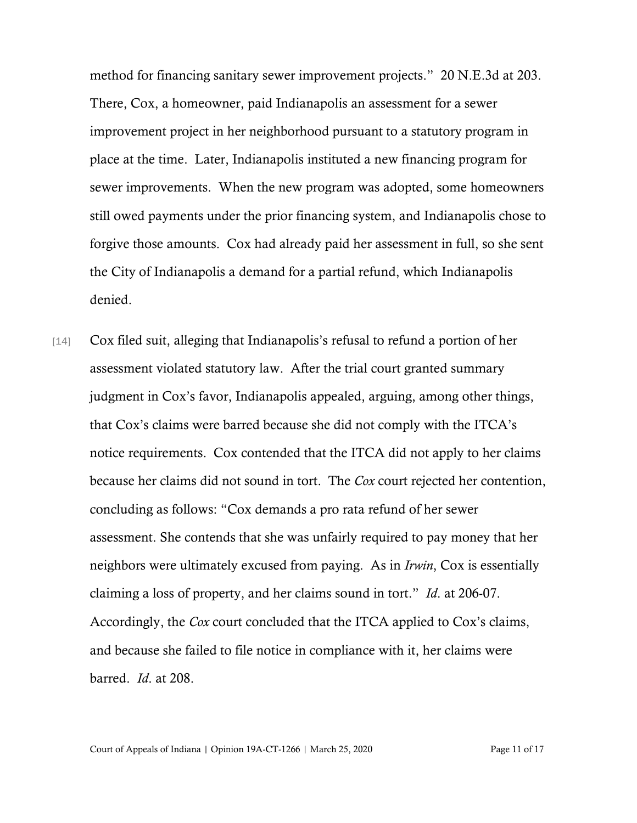method for financing sanitary sewer improvement projects." 20 N.E.3d at 203. There, Cox, a homeowner, paid Indianapolis an assessment for a sewer improvement project in her neighborhood pursuant to a statutory program in place at the time. Later, Indianapolis instituted a new financing program for sewer improvements. When the new program was adopted, some homeowners still owed payments under the prior financing system, and Indianapolis chose to forgive those amounts. Cox had already paid her assessment in full, so she sent the City of Indianapolis a demand for a partial refund, which Indianapolis denied.

[14] Cox filed suit, alleging that Indianapolis's refusal to refund a portion of her assessment violated statutory law. After the trial court granted summary judgment in Cox's favor, Indianapolis appealed, arguing, among other things, that Cox's claims were barred because she did not comply with the ITCA's notice requirements. Cox contended that the ITCA did not apply to her claims because her claims did not sound in tort. The *Cox* court rejected her contention, concluding as follows: "Cox demands a pro rata refund of her sewer assessment. She contends that she was unfairly required to pay money that her neighbors were ultimately excused from paying. As in *Irwin*, Cox is essentially claiming a loss of property, and her claims sound in tort." *Id*. at 206-07. Accordingly, the *Cox* court concluded that the ITCA applied to Cox's claims, and because she failed to file notice in compliance with it, her claims were barred. *Id*. at 208.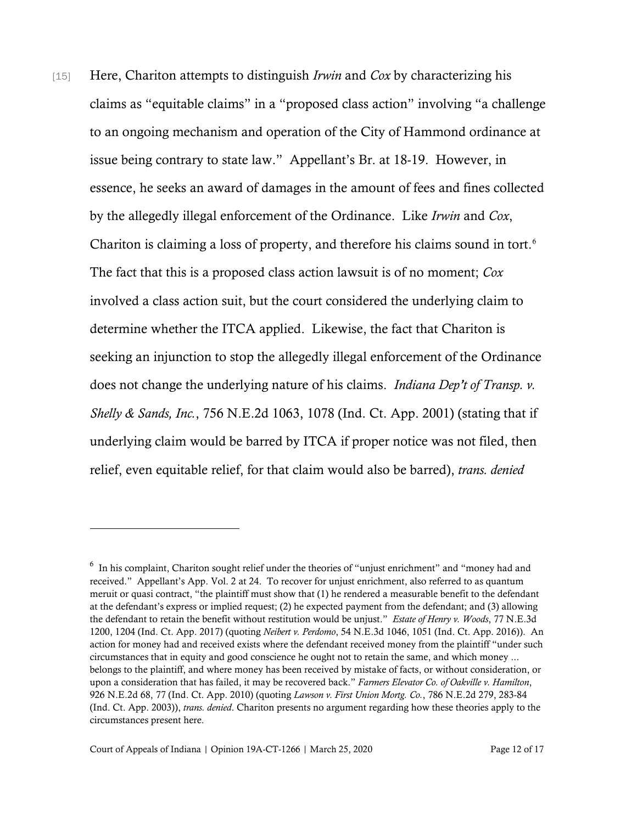[15] Here, Chariton attempts to distinguish *Irwin* and *Cox* by characterizing his claims as "equitable claims" in a "proposed class action" involving "a challenge to an ongoing mechanism and operation of the City of Hammond ordinance at issue being contrary to state law." Appellant's Br. at 18-19. However, in essence, he seeks an award of damages in the amount of fees and fines collected by the allegedly illegal enforcement of the Ordinance. Like *Irwin* and *Cox*, Chariton is claiming a loss of property, and therefore his claims sound in tort.<sup>[6](#page-11-0)</sup> The fact that this is a proposed class action lawsuit is of no moment; *Cox* involved a class action suit, but the court considered the underlying claim to determine whether the ITCA applied. Likewise, the fact that Chariton is seeking an injunction to stop the allegedly illegal enforcement of the Ordinance does not change the underlying nature of his claims. *Indiana Dep't of Transp. v. Shelly & Sands, Inc.*, 756 N.E.2d 1063, 1078 (Ind. Ct. App. 2001) (stating that if underlying claim would be barred by ITCA if proper notice was not filed, then relief, even equitable relief, for that claim would also be barred), *trans. denied*

<span id="page-11-0"></span><sup>&</sup>lt;sup>6</sup> In his complaint, Chariton sought relief under the theories of "unjust enrichment" and "money had and received." Appellant's App. Vol. 2 at 24. To recover for unjust enrichment, also referred to as quantum meruit or quasi contract, "the plaintiff must show that (1) he rendered a measurable benefit to the defendant at the defendant's express or implied request; (2) he expected payment from the defendant; and (3) allowing the defendant to retain the benefit without restitution would be unjust." *Estate of Henry v. Woods*, 77 N.E.3d 1200, 1204 (Ind. Ct. App. 2017) (quoting *Neibert v. Perdomo*, 54 N.E.3d 1046, 1051 (Ind. Ct. App. 2016)). An action for money had and received exists where the defendant received money from the plaintiff "under such circumstances that in equity and good conscience he ought not to retain the same, and which money ... belongs to the plaintiff, and where money has been received by mistake of facts, or without consideration, or upon a consideration that has failed, it may be recovered back." *Farmers Elevator Co. of Oakville v. Hamilton*, 926 N.E.2d 68, 77 (Ind. Ct. App. 2010) (quoting *Lawson v. First Union Mortg. Co.*, 786 N.E.2d 279, 283-84 (Ind. Ct. App. 2003)), *trans. denied*. Chariton presents no argument regarding how these theories apply to the circumstances present here.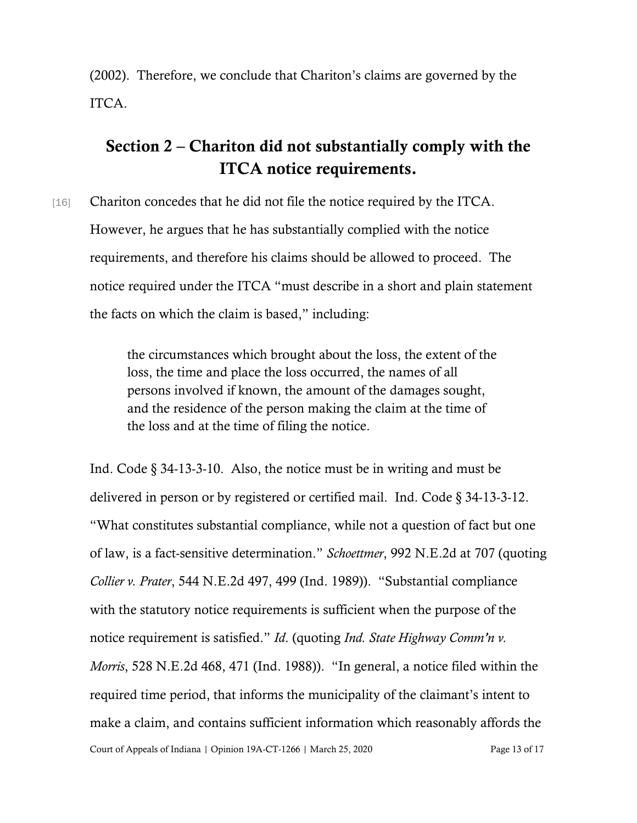(2002). Therefore, we conclude that Chariton's claims are governed by the ITCA.

## Section 2 – Chariton did not substantially comply with the ITCA notice requirements.

[16] Chariton concedes that he did not file the notice required by the ITCA. However, he argues that he has substantially complied with the notice requirements, and therefore his claims should be allowed to proceed. The notice required under the ITCA "must describe in a short and plain statement the facts on which the claim is based," including:

> the circumstances which brought about the loss, the extent of the loss, the time and place the loss occurred, the names of all persons involved if known, the amount of the damages sought, and the residence of the person making the claim at the time of the loss and at the time of filing the notice.

Court of Appeals of Indiana | Opinion 19A-CT-1266 | March 25, 2020 Page 13 of 17 Ind. Code § 34-13-3-10. Also, the notice must be in writing and must be delivered in person or by registered or certified mail. Ind. Code § 34-13-3-12. "What constitutes substantial compliance, while not a question of fact but one of law, is a fact-sensitive determination." *Schoettmer*, 992 N.E.2d at 707 (quoting *Collier v. Prater*, 544 N.E.2d 497, 499 (Ind. 1989)). "Substantial compliance with the statutory notice requirements is sufficient when the purpose of the notice requirement is satisfied." *Id*. (quoting *Ind. State Highway Comm'n v. Morris*, 528 N.E.2d 468, 471 (Ind. 1988)). "In general, a notice filed within the required time period, that informs the municipality of the claimant's intent to make a claim, and contains sufficient information which reasonably affords the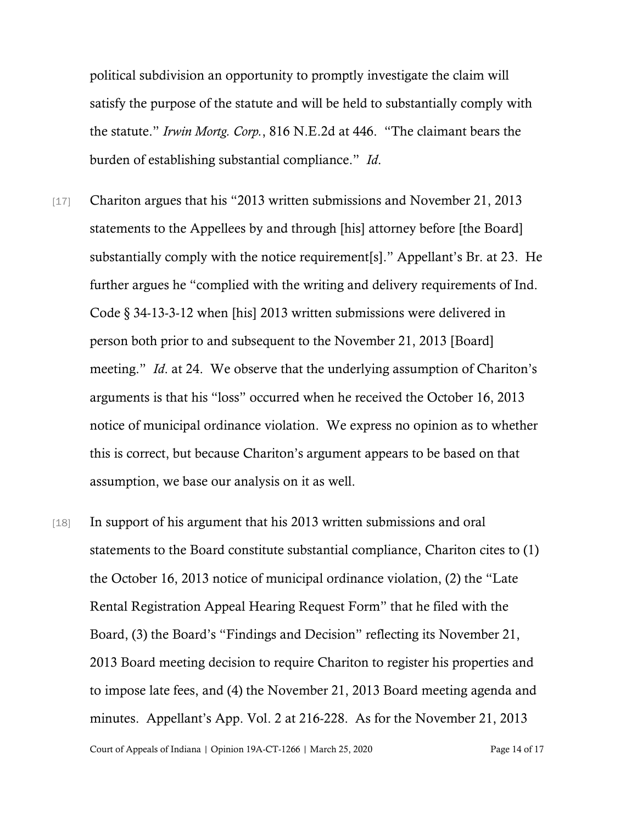political subdivision an opportunity to promptly investigate the claim will satisfy the purpose of the statute and will be held to substantially comply with the statute." *Irwin Mortg. Corp.*, 816 N.E.2d at 446. "The claimant bears the burden of establishing substantial compliance." *Id*.

- [17] Chariton argues that his "2013 written submissions and November 21, 2013 statements to the Appellees by and through [his] attorney before [the Board] substantially comply with the notice requirement[s]." Appellant's Br. at 23. He further argues he "complied with the writing and delivery requirements of Ind. Code § 34-13-3-12 when [his] 2013 written submissions were delivered in person both prior to and subsequent to the November 21, 2013 [Board] meeting." *Id*. at 24. We observe that the underlying assumption of Chariton's arguments is that his "loss" occurred when he received the October 16, 2013 notice of municipal ordinance violation. We express no opinion as to whether this is correct, but because Chariton's argument appears to be based on that assumption, we base our analysis on it as well.
- [18] In support of his argument that his 2013 written submissions and oral statements to the Board constitute substantial compliance, Chariton cites to (1) the October 16, 2013 notice of municipal ordinance violation, (2) the "Late Rental Registration Appeal Hearing Request Form" that he filed with the Board, (3) the Board's "Findings and Decision" reflecting its November 21, 2013 Board meeting decision to require Chariton to register his properties and to impose late fees, and (4) the November 21, 2013 Board meeting agenda and minutes. Appellant's App. Vol. 2 at 216-228. As for the November 21, 2013

Court of Appeals of Indiana | Opinion 19A-CT-1266 | March 25, 2020 Page 14 of 17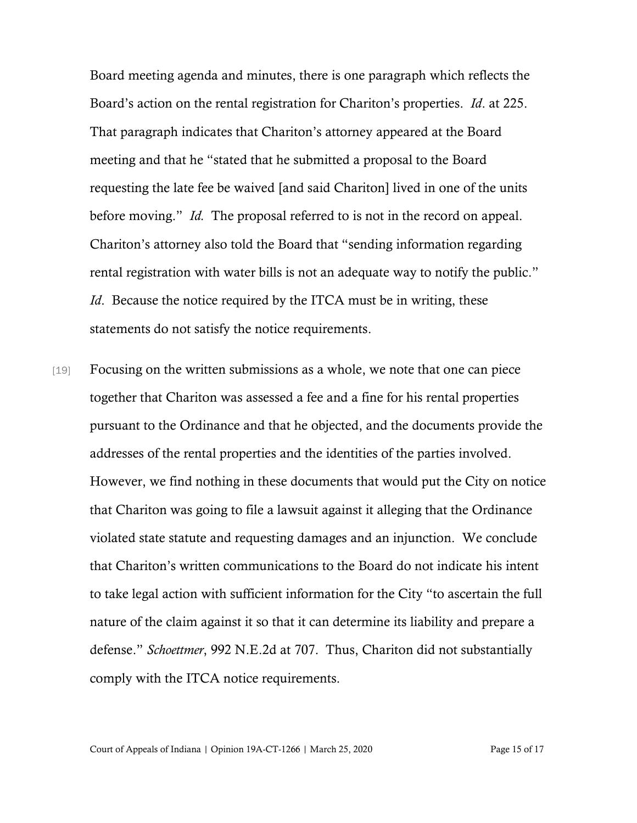Board meeting agenda and minutes, there is one paragraph which reflects the Board's action on the rental registration for Chariton's properties. *Id*. at 225. That paragraph indicates that Chariton's attorney appeared at the Board meeting and that he "stated that he submitted a proposal to the Board requesting the late fee be waived [and said Chariton] lived in one of the units before moving." *Id.* The proposal referred to is not in the record on appeal. Chariton's attorney also told the Board that "sending information regarding rental registration with water bills is not an adequate way to notify the public." *Id.* Because the notice required by the ITCA must be in writing, these statements do not satisfy the notice requirements.

[19] Focusing on the written submissions as a whole, we note that one can piece together that Chariton was assessed a fee and a fine for his rental properties pursuant to the Ordinance and that he objected, and the documents provide the addresses of the rental properties and the identities of the parties involved. However, we find nothing in these documents that would put the City on notice that Chariton was going to file a lawsuit against it alleging that the Ordinance violated state statute and requesting damages and an injunction. We conclude that Chariton's written communications to the Board do not indicate his intent to take legal action with sufficient information for the City "to ascertain the full nature of the claim against it so that it can determine its liability and prepare a defense." *Schoettmer*, 992 N.E.2d at 707. Thus, Chariton did not substantially comply with the ITCA notice requirements.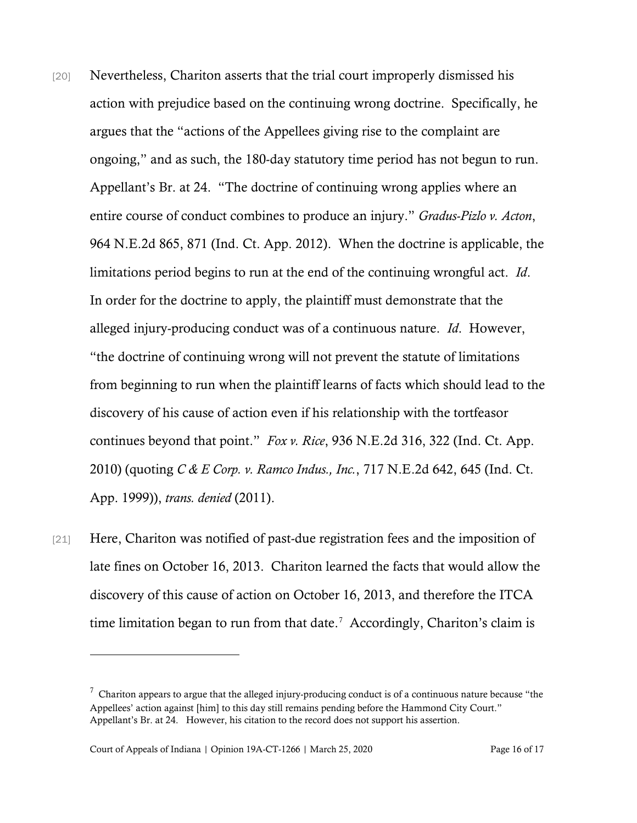- [20] Nevertheless, Chariton asserts that the trial court improperly dismissed his action with prejudice based on the continuing wrong doctrine. Specifically, he argues that the "actions of the Appellees giving rise to the complaint are ongoing," and as such, the 180-day statutory time period has not begun to run. Appellant's Br. at 24. "The doctrine of continuing wrong applies where an entire course of conduct combines to produce an injury." *Gradus-Pizlo v. Acton*, 964 N.E.2d 865, 871 (Ind. Ct. App. 2012). When the doctrine is applicable, the limitations period begins to run at the end of the continuing wrongful act. *Id*. In order for the doctrine to apply, the plaintiff must demonstrate that the alleged injury-producing conduct was of a continuous nature. *Id*. However, "the doctrine of continuing wrong will not prevent the statute of limitations from beginning to run when the plaintiff learns of facts which should lead to the discovery of his cause of action even if his relationship with the tortfeasor continues beyond that point." *Fox v. Rice*, 936 N.E.2d 316, 322 (Ind. Ct. App. 2010) (quoting *C & E Corp. v. Ramco Indus., Inc.*, 717 N.E.2d 642, 645 (Ind. Ct. App. 1999)), *trans. denied* (2011).
- [21] Here, Chariton was notified of past-due registration fees and the imposition of late fines on October 16, 2013. Chariton learned the facts that would allow the discovery of this cause of action on October 16, 2013, and therefore the ITCA time limitation began to run from that date.<sup>[7](#page-15-0)</sup> Accordingly, Chariton's claim is

<span id="page-15-0"></span> $^7$  Chariton appears to argue that the alleged injury-producing conduct is of a continuous nature because "the Appellees' action against [him] to this day still remains pending before the Hammond City Court." Appellant's Br. at 24. However, his citation to the record does not support his assertion.